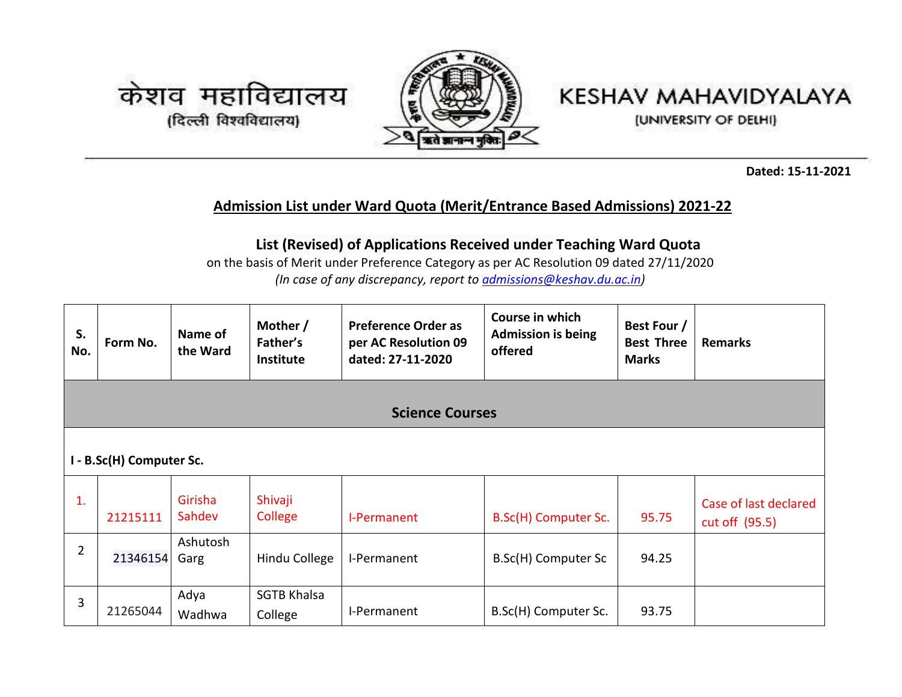



## KESHAV MAHAVIDYALAYA

(UNIVERSITY OF DELHI)

**Dated: 15-11-2021**

## **Admission List under Ward Quota (Merit/Entrance Based Admissions) 2021-22**

## **List (Revised) of Applications Received under Teaching Ward Quota**

on the basis of Merit under Preference Category as per AC Resolution 09 dated 27/11/2020 *(In case of any discrepancy, report to [admissions@keshav.du.ac.in\)](mailto:admissions@keshav.du.ac.in)*

| S.<br>No.      | Form No.                 | Name of<br>the Ward | Mother /<br>Father's<br>Institute | <b>Preference Order as</b><br>per AC Resolution 09<br>dated: 27-11-2020 | Course in which<br><b>Admission is being</b><br>offered | Best Four /<br><b>Best Three</b><br><b>Marks</b> | <b>Remarks</b>                          |
|----------------|--------------------------|---------------------|-----------------------------------|-------------------------------------------------------------------------|---------------------------------------------------------|--------------------------------------------------|-----------------------------------------|
|                |                          |                     |                                   | <b>Science Courses</b>                                                  |                                                         |                                                  |                                         |
|                | I - B.Sc(H) Computer Sc. |                     |                                   |                                                                         |                                                         |                                                  |                                         |
| 1.             | 21215111                 | Girisha<br>Sahdev   | Shivaji<br>College                | I-Permanent                                                             | B.Sc(H) Computer Sc.                                    | 95.75                                            | Case of last declared<br>cut off (95.5) |
| $\overline{2}$ | 21346154                 | Ashutosh<br>Garg    | Hindu College                     | I-Permanent                                                             | B.Sc(H) Computer Sc                                     | 94.25                                            |                                         |
| 3              | 21265044                 | Adya<br>Wadhwa      | <b>SGTB Khalsa</b><br>College     | I-Permanent                                                             | B.Sc(H) Computer Sc.                                    | 93.75                                            |                                         |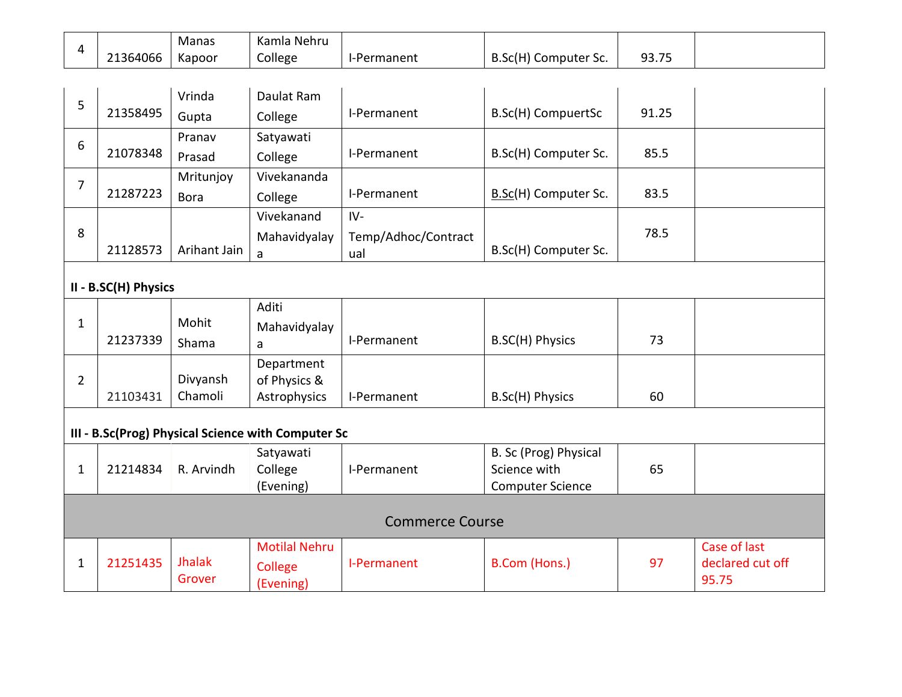|          | Manas  | Kamla Nehru |             |                                 |       |
|----------|--------|-------------|-------------|---------------------------------|-------|
| 21364066 | Kapoor | College     | I-Permanent | $B.SC(H)$ C<br>[1] Computer Sc. | 93.75 |

| 5              | 21358495             | Vrinda<br>Gupta          | Daulat Ram<br>College                              | I-Permanent                         | B.Sc(H) CompuertSc                                               | 91.25 |                                           |
|----------------|----------------------|--------------------------|----------------------------------------------------|-------------------------------------|------------------------------------------------------------------|-------|-------------------------------------------|
| 6              | 21078348             | Pranav<br>Prasad         | Satyawati<br>College                               | I-Permanent                         | B.Sc(H) Computer Sc.                                             | 85.5  |                                           |
| 7              | 21287223             | Mritunjoy<br><b>Bora</b> | Vivekananda<br>College                             | I-Permanent                         | B.Sc(H) Computer Sc.                                             | 83.5  |                                           |
| 8              | 21128573             | Arihant Jain             | Vivekanand<br>Mahavidyalay<br>a                    | $IV-$<br>Temp/Adhoc/Contract<br>ual | B.Sc(H) Computer Sc.                                             | 78.5  |                                           |
|                | II - B.SC(H) Physics |                          |                                                    |                                     |                                                                  |       |                                           |
| $\mathbf{1}$   | 21237339             | Mohit<br>Shama           | Aditi<br>Mahavidyalay<br>a                         | I-Permanent                         | B.SC(H) Physics                                                  | 73    |                                           |
| $\overline{2}$ | 21103431             | Divyansh<br>Chamoli      | Department<br>of Physics &<br>Astrophysics         | I-Permanent                         | B.Sc(H) Physics                                                  | 60    |                                           |
|                |                      |                          | III - B.Sc(Prog) Physical Science with Computer Sc |                                     |                                                                  |       |                                           |
| $\mathbf{1}$   | 21214834             | R. Arvindh               | Satyawati<br>College<br>(Evening)                  | I-Permanent                         | B. Sc (Prog) Physical<br>Science with<br><b>Computer Science</b> | 65    |                                           |
|                |                      |                          |                                                    | <b>Commerce Course</b>              |                                                                  |       |                                           |
| $\mathbf{1}$   | 21251435             | <b>Jhalak</b><br>Grover  | <b>Motilal Nehru</b><br>College<br>(Evening)       | I-Permanent                         | B.Com (Hons.)                                                    | 97    | Case of last<br>declared cut off<br>95.75 |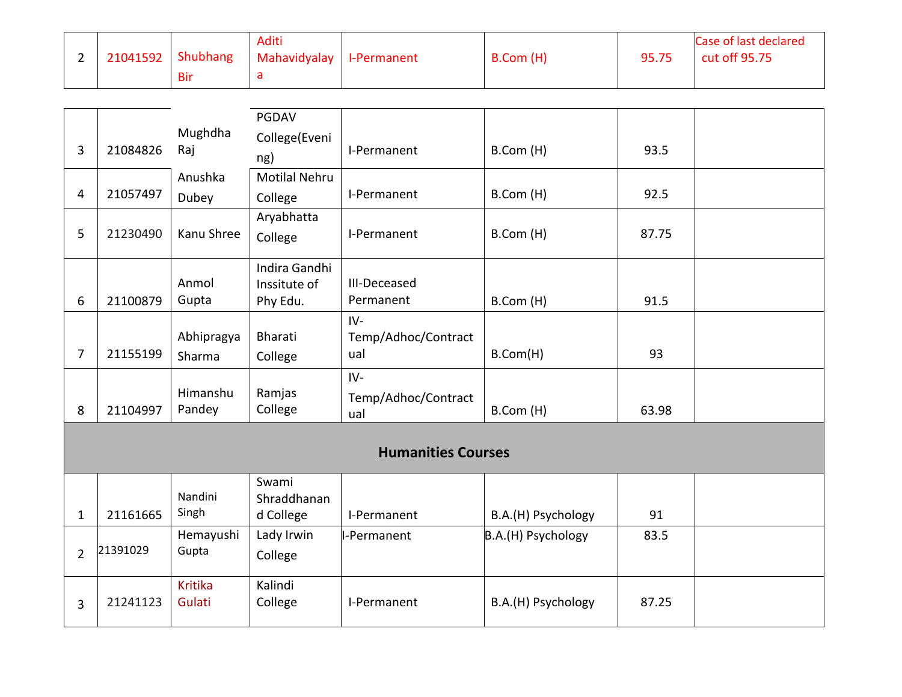| $\overline{\phantom{0}}$ | 21041592 | Shubhang | <b>Aditi</b><br>Mahavidyalay   I-Permanent | B.Com (H) | 95.75 | Case of last declared<br>cut off 95.75 |
|--------------------------|----------|----------|--------------------------------------------|-----------|-------|----------------------------------------|
|                          |          | Bir      | a                                          |           |       |                                        |

|                |          |                    | PGDAV                         |                           |                    |       |  |
|----------------|----------|--------------------|-------------------------------|---------------------------|--------------------|-------|--|
| 3              | 21084826 | Mughdha<br>Raj     | College(Eveni                 | I-Permanent               | B.Com (H)          | 93.5  |  |
|                |          |                    | ng)                           |                           |                    |       |  |
|                |          | Anushka            | <b>Motilal Nehru</b>          |                           |                    |       |  |
| 4              | 21057497 | Dubey              | College                       | I-Permanent               | B.Com (H)          | 92.5  |  |
|                |          |                    | Aryabhatta                    |                           |                    |       |  |
| 5              | 21230490 | Kanu Shree         | College                       | I-Permanent               | B.Com (H)          | 87.75 |  |
|                |          | Anmol              | Indira Gandhi<br>Inssitute of | III-Deceased              |                    |       |  |
| 6              | 21100879 | Gupta              | Phy Edu.                      | Permanent                 | B.Com (H)          | 91.5  |  |
|                |          |                    |                               | $IV -$                    |                    |       |  |
|                |          | Abhipragya         | <b>Bharati</b>                | Temp/Adhoc/Contract       |                    |       |  |
| $\overline{7}$ | 21155199 | Sharma             | College                       | ual                       | B.Com(H)           | 93    |  |
|                |          |                    |                               | $IV -$                    |                    |       |  |
|                |          | Himanshu           | Ramjas                        | Temp/Adhoc/Contract       |                    |       |  |
| 8              | 21104997 | Pandey             | College                       | ual                       | B.Com (H)          | 63.98 |  |
|                |          |                    |                               |                           |                    |       |  |
|                |          |                    |                               | <b>Humanities Courses</b> |                    |       |  |
|                |          |                    | Swami                         |                           |                    |       |  |
|                |          | Nandini<br>Singh   | Shraddhanan                   |                           |                    |       |  |
| $\mathbf{1}$   | 21161665 |                    | d College                     | I-Permanent               | B.A.(H) Psychology | 91    |  |
|                | 21391029 | Hemayushi<br>Gupta | Lady Irwin                    | I-Permanent               | B.A.(H) Psychology | 83.5  |  |
| $\overline{2}$ |          |                    | College                       |                           |                    |       |  |
|                |          | <b>Kritika</b>     | Kalindi                       |                           |                    |       |  |
| 3              | 21241123 | Gulati             | College                       | I-Permanent               | B.A.(H) Psychology | 87.25 |  |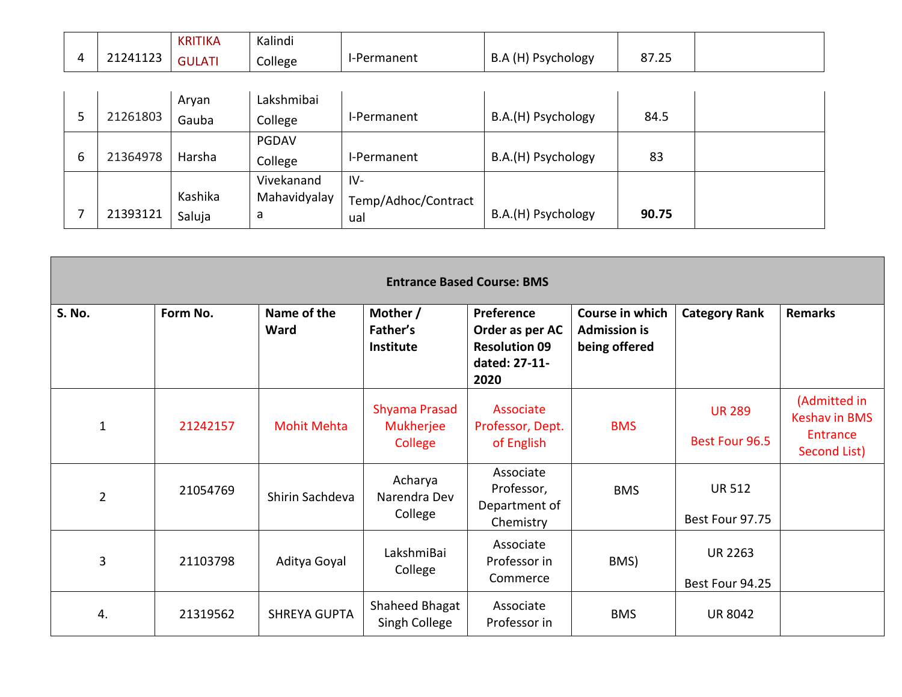|          | <b>KRITIKA</b> | Kalindi |             |                    |       |  |
|----------|----------------|---------|-------------|--------------------|-------|--|
| 21241123 | <b>GULATI</b>  | College | I-Permanent | B.A (H) Psychology | 87.25 |  |

|   |          | Aryan   | Lakshmibai   |                     |                    |       |  |
|---|----------|---------|--------------|---------------------|--------------------|-------|--|
|   | 21261803 | Gauba   | College      | I-Permanent         | B.A.(H) Psychology | 84.5  |  |
|   |          |         | <b>PGDAV</b> |                     |                    |       |  |
| 6 | 21364978 | Harsha  | College      | I-Permanent         | B.A.(H) Psychology | 83    |  |
|   |          |         | Vivekanand   | $IV-$               |                    |       |  |
|   |          | Kashika | Mahavidyalay | Temp/Adhoc/Contract |                    |       |  |
|   | 21393121 | Saluja  | a            | ual                 | B.A.(H) Psychology | 90.75 |  |

|                | <b>Entrance Based Course: BMS</b> |                     |                                       |                                                                                |                                                         |                                   |                                                                         |  |  |  |  |
|----------------|-----------------------------------|---------------------|---------------------------------------|--------------------------------------------------------------------------------|---------------------------------------------------------|-----------------------------------|-------------------------------------------------------------------------|--|--|--|--|
| S. No.         | Form No.                          | Name of the<br>Ward | Mother /<br>Father's<br>Institute     | Preference<br>Order as per AC<br><b>Resolution 09</b><br>dated: 27-11-<br>2020 | Course in which<br><b>Admission is</b><br>being offered | <b>Category Rank</b>              | <b>Remarks</b>                                                          |  |  |  |  |
| $\mathbf{1}$   | 21242157                          | <b>Mohit Mehta</b>  | Shyama Prasad<br>Mukherjee<br>College | Associate<br>Professor, Dept.<br>of English                                    | <b>BMS</b>                                              | <b>UR 289</b><br>Best Four 96.5   | (Admitted in<br><b>Keshav in BMS</b><br><b>Entrance</b><br>Second List) |  |  |  |  |
| $\overline{2}$ | 21054769                          | Shirin Sachdeva     | Acharya<br>Narendra Dev<br>College    | Associate<br>Professor,<br>Department of<br>Chemistry                          | <b>BMS</b>                                              | <b>UR 512</b><br>Best Four 97.75  |                                                                         |  |  |  |  |
| 3              | 21103798                          | Aditya Goyal        | LakshmiBai<br>College                 | Associate<br>Professor in<br>Commerce                                          | BMS)                                                    | <b>UR 2263</b><br>Best Four 94.25 |                                                                         |  |  |  |  |
| 4.             | 21319562                          | <b>SHREYA GUPTA</b> | Shaheed Bhagat<br>Singh College       | Associate<br>Professor in                                                      | <b>BMS</b>                                              | <b>UR 8042</b>                    |                                                                         |  |  |  |  |